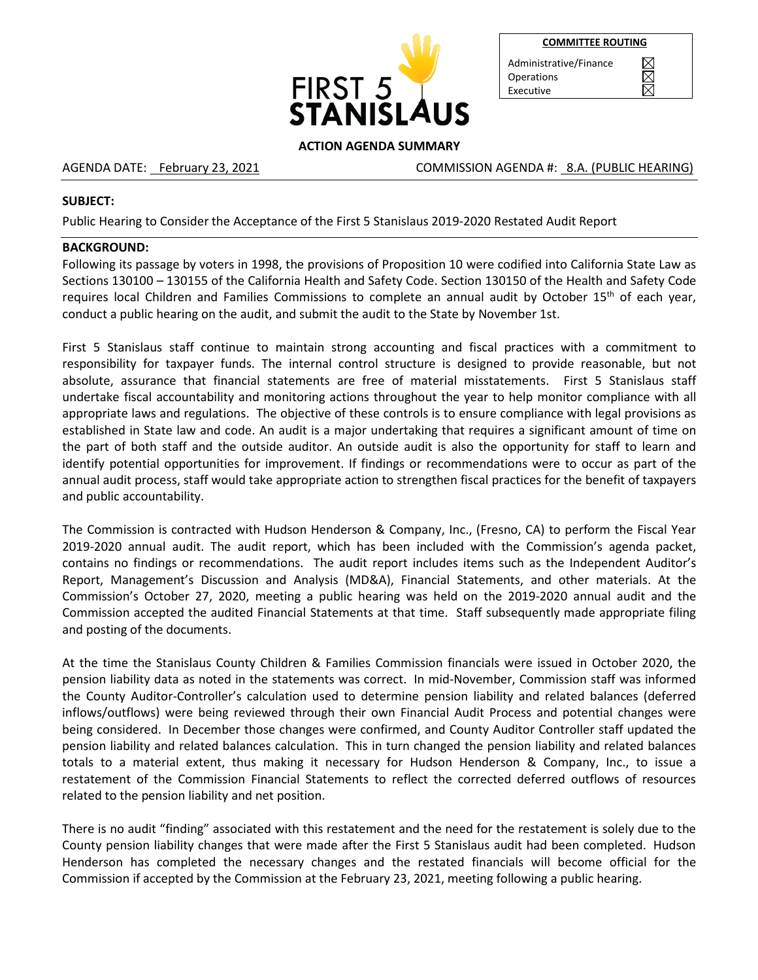

|--|

 $\boxtimes$ 

Administrative/Finance **Operations** Executive

### **ACTION AGENDA SUMMARY**

AGENDA DATE: February 23, 2021 The Same COMMISSION AGENDA #: 8.A. (PUBLIC HEARING)

#### **SUBJECT:**

Public Hearing to Consider the Acceptance of the First 5 Stanislaus 2019-2020 Restated Audit Report

### **BACKGROUND:**

Following its passage by voters in 1998, the provisions of Proposition 10 were codified into California State Law as Sections 130100 – 130155 of the California Health and Safety Code. Section 130150 of the Health and Safety Code requires local Children and Families Commissions to complete an annual audit by October 15<sup>th</sup> of each year, conduct a public hearing on the audit, and submit the audit to the State by November 1st.

First 5 Stanislaus staff continue to maintain strong accounting and fiscal practices with a commitment to responsibility for taxpayer funds. The internal control structure is designed to provide reasonable, but not absolute, assurance that financial statements are free of material misstatements. First 5 Stanislaus staff undertake fiscal accountability and monitoring actions throughout the year to help monitor compliance with all appropriate laws and regulations. The objective of these controls is to ensure compliance with legal provisions as established in State law and code. An audit is a major undertaking that requires a significant amount of time on the part of both staff and the outside auditor. An outside audit is also the opportunity for staff to learn and identify potential opportunities for improvement. If findings or recommendations were to occur as part of the annual audit process, staff would take appropriate action to strengthen fiscal practices for the benefit of taxpayers and public accountability.

The Commission is contracted with Hudson Henderson & Company, Inc., (Fresno, CA) to perform the Fiscal Year 2019-2020 annual audit. The audit report, which has been included with the Commission's agenda packet, contains no findings or recommendations. The audit report includes items such as the Independent Auditor's Report, Management's Discussion and Analysis (MD&A), Financial Statements, and other materials. At the Commission's October 27, 2020, meeting a public hearing was held on the 2019-2020 annual audit and the Commission accepted the audited Financial Statements at that time. Staff subsequently made appropriate filing and posting of the documents.

At the time the Stanislaus County Children & Families Commission financials were issued in October 2020, the pension liability data as noted in the statements was correct. In mid-November, Commission staff was informed the County Auditor-Controller's calculation used to determine pension liability and related balances (deferred inflows/outflows) were being reviewed through their own Financial Audit Process and potential changes were being considered. In December those changes were confirmed, and County Auditor Controller staff updated the pension liability and related balances calculation. This in turn changed the pension liability and related balances totals to a material extent, thus making it necessary for Hudson Henderson & Company, Inc., to issue a restatement of the Commission Financial Statements to reflect the corrected deferred outflows of resources related to the pension liability and net position.

There is no audit "finding" associated with this restatement and the need for the restatement is solely due to the County pension liability changes that were made after the First 5 Stanislaus audit had been completed. Hudson Henderson has completed the necessary changes and the restated financials will become official for the Commission if accepted by the Commission at the February 23, 2021, meeting following a public hearing.